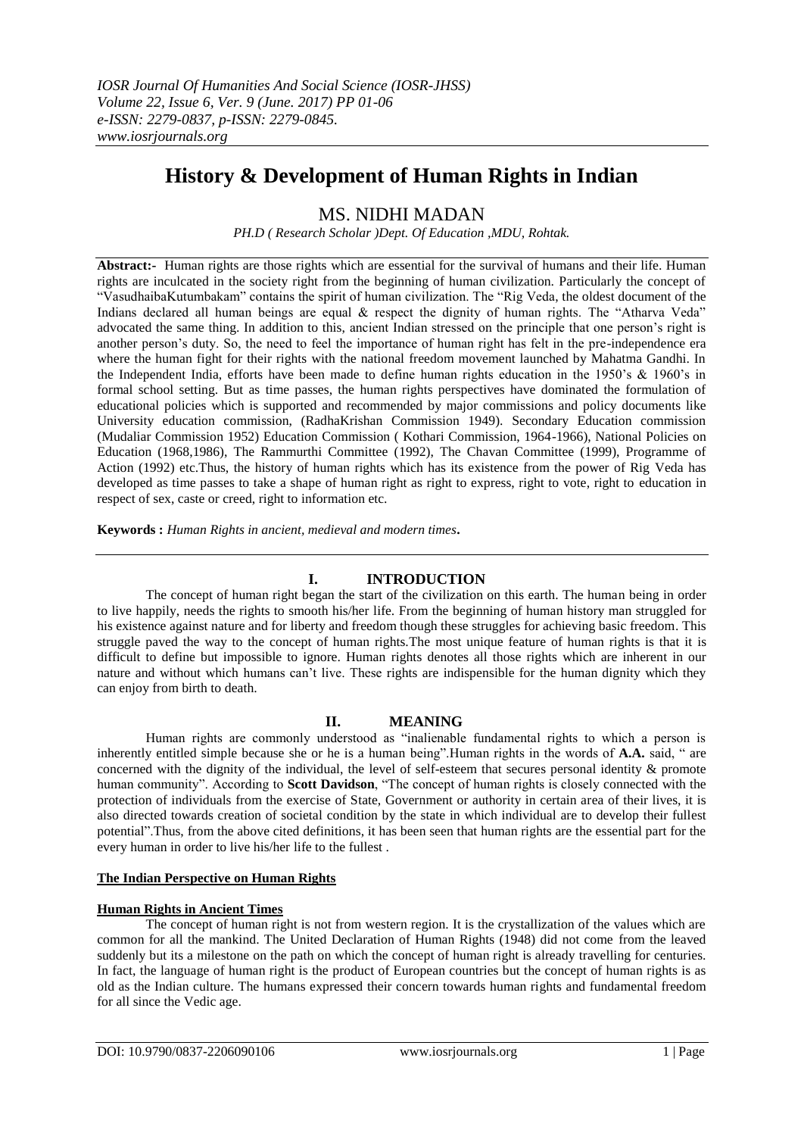# **History & Development of Human Rights in Indian**

# MS. NIDHI MADAN

*PH.D ( Research Scholar )Dept. Of Education ,MDU, Rohtak.*

**Abstract:-** Human rights are those rights which are essential for the survival of humans and their life. Human rights are inculcated in the society right from the beginning of human civilization. Particularly the concept of "VasudhaibaKutumbakam" contains the spirit of human civilization. The "Rig Veda, the oldest document of the Indians declared all human beings are equal & respect the dignity of human rights. The "Atharva Veda" advocated the same thing. In addition to this, ancient Indian stressed on the principle that one person's right is another person's duty. So, the need to feel the importance of human right has felt in the pre-independence era where the human fight for their rights with the national freedom movement launched by Mahatma Gandhi. In the Independent India, efforts have been made to define human rights education in the 1950's & 1960's in formal school setting. But as time passes, the human rights perspectives have dominated the formulation of educational policies which is supported and recommended by major commissions and policy documents like University education commission, (RadhaKrishan Commission 1949). Secondary Education commission (Mudaliar Commission 1952) Education Commission ( Kothari Commission, 1964-1966), National Policies on Education (1968,1986), The Rammurthi Committee (1992), The Chavan Committee (1999), Programme of Action (1992) etc.Thus, the history of human rights which has its existence from the power of Rig Veda has developed as time passes to take a shape of human right as right to express, right to vote, right to education in respect of sex, caste or creed, right to information etc.

**Keywords :** *Human Rights in ancient, medieval and modern times***.**

# **I. INTRODUCTION**

The concept of human right began the start of the civilization on this earth. The human being in order to live happily, needs the rights to smooth his/her life. From the beginning of human history man struggled for his existence against nature and for liberty and freedom though these struggles for achieving basic freedom. This struggle paved the way to the concept of human rights.The most unique feature of human rights is that it is difficult to define but impossible to ignore. Human rights denotes all those rights which are inherent in our nature and without which humans can't live. These rights are indispensible for the human dignity which they can enjoy from birth to death.

## **II. MEANING**

Human rights are commonly understood as "inalienable fundamental rights to which a person is inherently entitled simple because she or he is a human being".Human rights in the words of **A.A.** said, " are concerned with the dignity of the individual, the level of self-esteem that secures personal identity & promote human community". According to **Scott Davidson**, "The concept of human rights is closely connected with the protection of individuals from the exercise of State, Government or authority in certain area of their lives, it is also directed towards creation of societal condition by the state in which individual are to develop their fullest potential".Thus, from the above cited definitions, it has been seen that human rights are the essential part for the every human in order to live his/her life to the fullest .

## **The Indian Perspective on Human Rights**

## **Human Rights in Ancient Times**

The concept of human right is not from western region. It is the crystallization of the values which are common for all the mankind. The United Declaration of Human Rights (1948) did not come from the leaved suddenly but its a milestone on the path on which the concept of human right is already travelling for centuries. In fact, the language of human right is the product of European countries but the concept of human rights is as old as the Indian culture. The humans expressed their concern towards human rights and fundamental freedom for all since the Vedic age.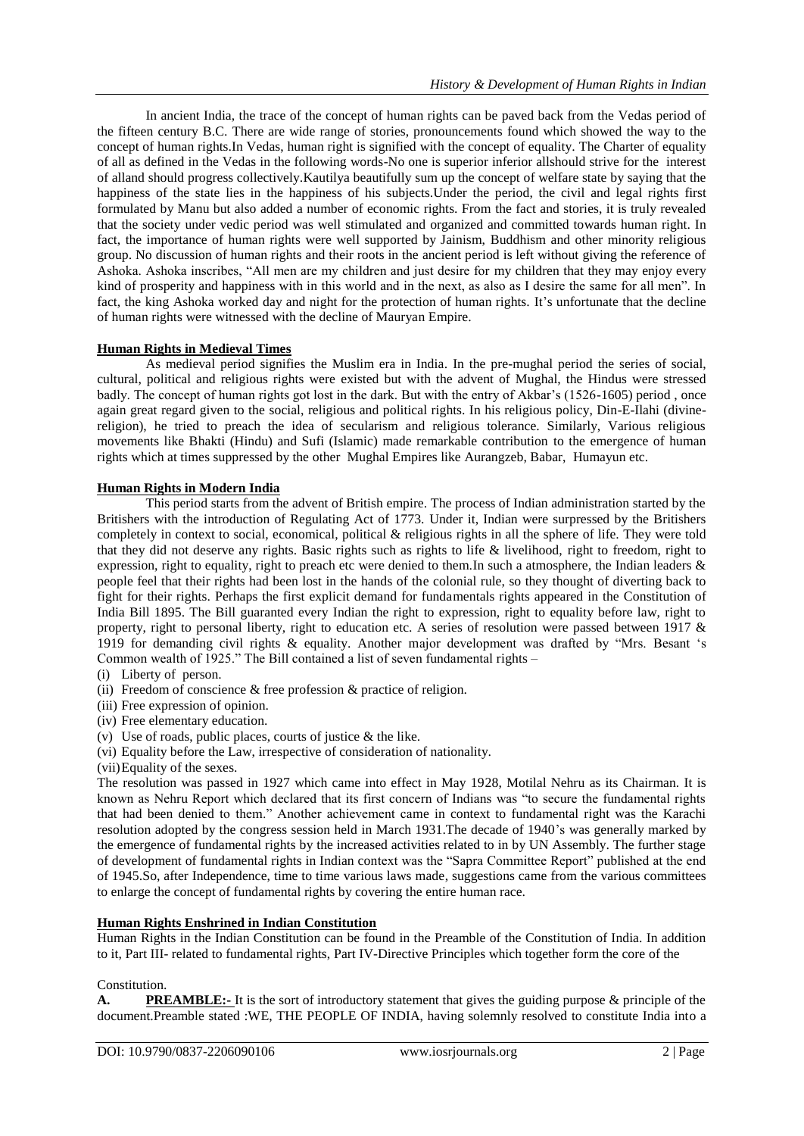In ancient India, the trace of the concept of human rights can be paved back from the Vedas period of the fifteen century B.C. There are wide range of stories, pronouncements found which showed the way to the concept of human rights.In Vedas, human right is signified with the concept of equality. The Charter of equality of all as defined in the Vedas in the following words-No one is superior inferior allshould strive for the interest of alland should progress collectively.Kautilya beautifully sum up the concept of welfare state by saying that the happiness of the state lies in the happiness of his subjects.Under the period, the civil and legal rights first formulated by Manu but also added a number of economic rights. From the fact and stories, it is truly revealed that the society under vedic period was well stimulated and organized and committed towards human right. In fact, the importance of human rights were well supported by Jainism, Buddhism and other minority religious group. No discussion of human rights and their roots in the ancient period is left without giving the reference of Ashoka. Ashoka inscribes, "All men are my children and just desire for my children that they may enjoy every kind of prosperity and happiness with in this world and in the next, as also as I desire the same for all men". In fact, the king Ashoka worked day and night for the protection of human rights. It's unfortunate that the decline of human rights were witnessed with the decline of Mauryan Empire.

## **Human Rights in Medieval Times**

As medieval period signifies the Muslim era in India. In the pre-mughal period the series of social, cultural, political and religious rights were existed but with the advent of Mughal, the Hindus were stressed badly. The concept of human rights got lost in the dark. But with the entry of Akbar's (1526-1605) period , once again great regard given to the social, religious and political rights. In his religious policy, Din-E-Ilahi (divinereligion), he tried to preach the idea of secularism and religious tolerance. Similarly, Various religious movements like Bhakti (Hindu) and Sufi (Islamic) made remarkable contribution to the emergence of human rights which at times suppressed by the other Mughal Empires like Aurangzeb, Babar, Humayun etc.

#### **Human Rights in Modern India**

This period starts from the advent of British empire. The process of Indian administration started by the Britishers with the introduction of Regulating Act of 1773. Under it, Indian were surpressed by the Britishers completely in context to social, economical, political & religious rights in all the sphere of life. They were told that they did not deserve any rights. Basic rights such as rights to life & livelihood, right to freedom, right to expression, right to equality, right to preach etc were denied to them.In such a atmosphere, the Indian leaders & people feel that their rights had been lost in the hands of the colonial rule, so they thought of diverting back to fight for their rights. Perhaps the first explicit demand for fundamentals rights appeared in the Constitution of India Bill 1895. The Bill guaranted every Indian the right to expression, right to equality before law, right to property, right to personal liberty, right to education etc. A series of resolution were passed between 1917 & 1919 for demanding civil rights & equality. Another major development was drafted by "Mrs. Besant 's Common wealth of 1925." The Bill contained a list of seven fundamental rights –

- (i) Liberty of person.
- (ii) Freedom of conscience & free profession & practice of religion.
- (iii) Free expression of opinion.
- (iv) Free elementary education.
- (v) Use of roads, public places, courts of justice  $\&$  the like.
- (vi) Equality before the Law, irrespective of consideration of nationality.
- (vii)Equality of the sexes.

The resolution was passed in 1927 which came into effect in May 1928, Motilal Nehru as its Chairman. It is known as Nehru Report which declared that its first concern of Indians was "to secure the fundamental rights that had been denied to them." Another achievement came in context to fundamental right was the Karachi resolution adopted by the congress session held in March 1931.The decade of 1940's was generally marked by the emergence of fundamental rights by the increased activities related to in by UN Assembly. The further stage of development of fundamental rights in Indian context was the "Sapra Committee Report" published at the end of 1945.So, after Independence, time to time various laws made, suggestions came from the various committees to enlarge the concept of fundamental rights by covering the entire human race.

#### **Human Rights Enshrined in Indian Constitution**

Human Rights in the Indian Constitution can be found in the Preamble of the Constitution of India. In addition to it, Part III- related to fundamental rights, Part IV-Directive Principles which together form the core of the

#### Constitution.

**A. PREAMBLE:-** It is the sort of introductory statement that gives the guiding purpose & principle of the document.Preamble stated :WE, THE PEOPLE OF INDIA, having solemnly resolved to constitute India into a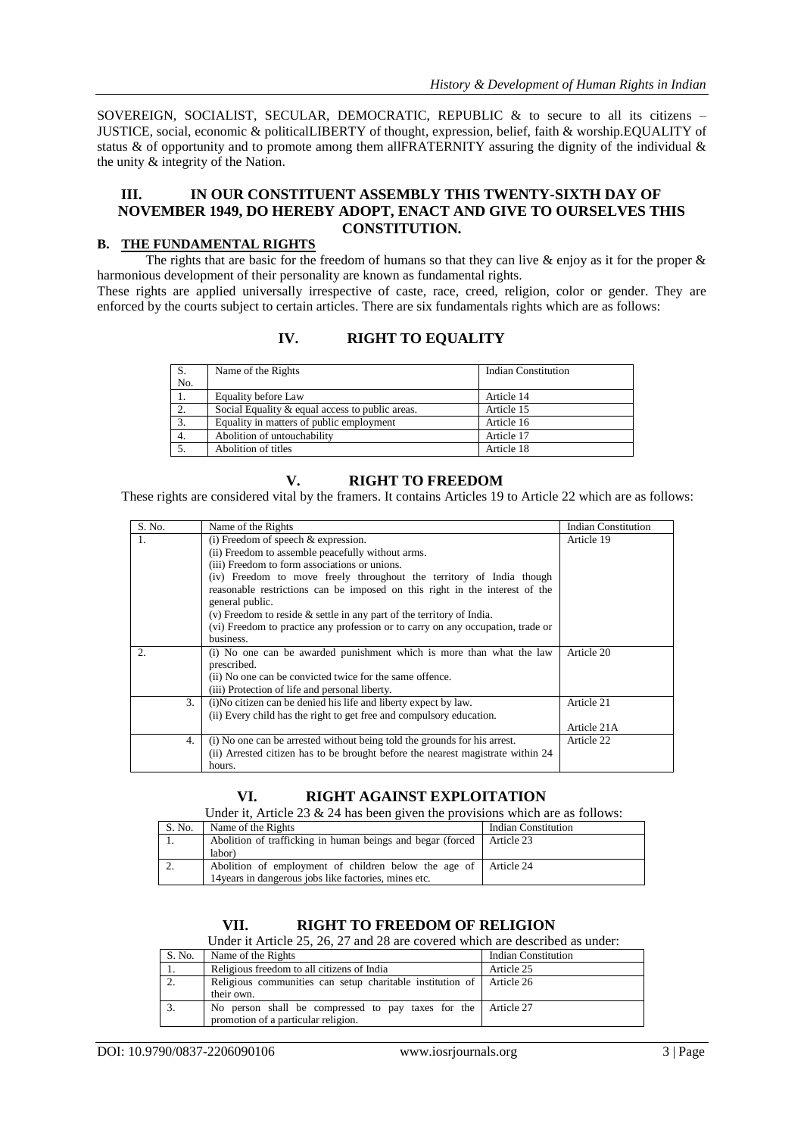SOVEREIGN, SOCIALIST, SECULAR, DEMOCRATIC, REPUBLIC & to secure to all its citizens – JUSTICE, social, economic & politicalLIBERTY of thought, expression, belief, faith & worship.EQUALITY of status  $\&$  of opportunity and to promote among them allFRATERNITY assuring the dignity of the individual  $\&$ the unity & integrity of the Nation.

## **III. IN OUR CONSTITUENT ASSEMBLY THIS TWENTY-SIXTH DAY OF NOVEMBER 1949, DO HEREBY ADOPT, ENACT AND GIVE TO OURSELVES THIS CONSTITUTION.**

## **B. THE FUNDAMENTAL RIGHTS**

The rights that are basic for the freedom of humans so that they can live  $\&$  enjoy as it for the proper  $\&$ harmonious development of their personality are known as fundamental rights.

These rights are applied universally irrespective of caste, race, creed, religion, color or gender. They are enforced by the courts subject to certain articles. There are six fundamentals rights which are as follows:

## **IV. RIGHT TO EQUALITY**

| S.  | Name of the Rights                              | <b>Indian Constitution</b> |
|-----|-------------------------------------------------|----------------------------|
| No. |                                                 |                            |
| 1.  | Equality before Law                             | Article 14                 |
| 2.  | Social Equality & equal access to public areas. | Article 15                 |
| 3.  | Equality in matters of public employment        | Article 16                 |
| 4.  | Abolition of untouchability                     | Article 17                 |
|     | Abolition of titles                             | Article 18                 |

## **V. RIGHT TO FREEDOM**

These rights are considered vital by the framers. It contains Articles 19 to Article 22 which are as follows:

| S. No. | Name of the Rights                                                              | <b>Indian Constitution</b> |
|--------|---------------------------------------------------------------------------------|----------------------------|
|        | $(i)$ Freedom of speech $\&$ expression.                                        | Article 19                 |
|        | (ii) Freedom to assemble peacefully without arms.                               |                            |
|        | (iii) Freedom to form associations or unions.                                   |                            |
|        | (iv) Freedom to move freely throughout the territory of India though            |                            |
|        | reasonable restrictions can be imposed on this right in the interest of the     |                            |
|        | general public.                                                                 |                            |
|        | (v) Freedom to reside $\&$ settle in any part of the territory of India.        |                            |
|        | (vi) Freedom to practice any profession or to carry on any occupation, trade or |                            |
|        | business.                                                                       |                            |
| 2.     | (i) No one can be awarded punishment which is more than what the law            | Article 20                 |
|        | prescribed.                                                                     |                            |
|        | (ii) No one can be convicted twice for the same offence.                        |                            |
|        | (iii) Protection of life and personal liberty.                                  |                            |
| 3.     | (i) No citizen can be denied his life and liberty expect by law.                | Article 21                 |
|        | (ii) Every child has the right to get free and compulsory education.            |                            |
|        |                                                                                 | Article 21A                |
| 4.     | (i) No one can be arrested without being told the grounds for his arrest.       | Article 22                 |
|        | (ii) Arrested citizen has to be brought before the nearest magistrate within 24 |                            |
|        | hours.                                                                          |                            |

## **VI. RIGHT AGAINST EXPLOITATION**

Under it, Article 23 & 24 has been given the provisions which are as follows:

| S. No. | Name of the Rights                                                       | <b>Indian Constitution</b> |
|--------|--------------------------------------------------------------------------|----------------------------|
|        | Abolition of trafficking in human beings and begar (forced   Article 23) |                            |
|        | labor)                                                                   |                            |
| ۷.     | Abolition of employment of children below the age of Article 24          |                            |
|        | 14 years in dangerous jobs like factories, mines etc.                    |                            |

## **VII. RIGHT TO FREEDOM OF RELIGION**

Under it Article 25, 26, 27 and 28 are covered which are described as under:

| S. No. | Name of the Rights                                                   | <b>Indian Constitution</b> |
|--------|----------------------------------------------------------------------|----------------------------|
| 1.     | Religious freedom to all citizens of India                           | Article 25                 |
|        | Religious communities can setup charitable institution of Article 26 |                            |
|        | their own.                                                           |                            |
|        | No person shall be compressed to pay taxes for the Article 27        |                            |
|        | promotion of a particular religion.                                  |                            |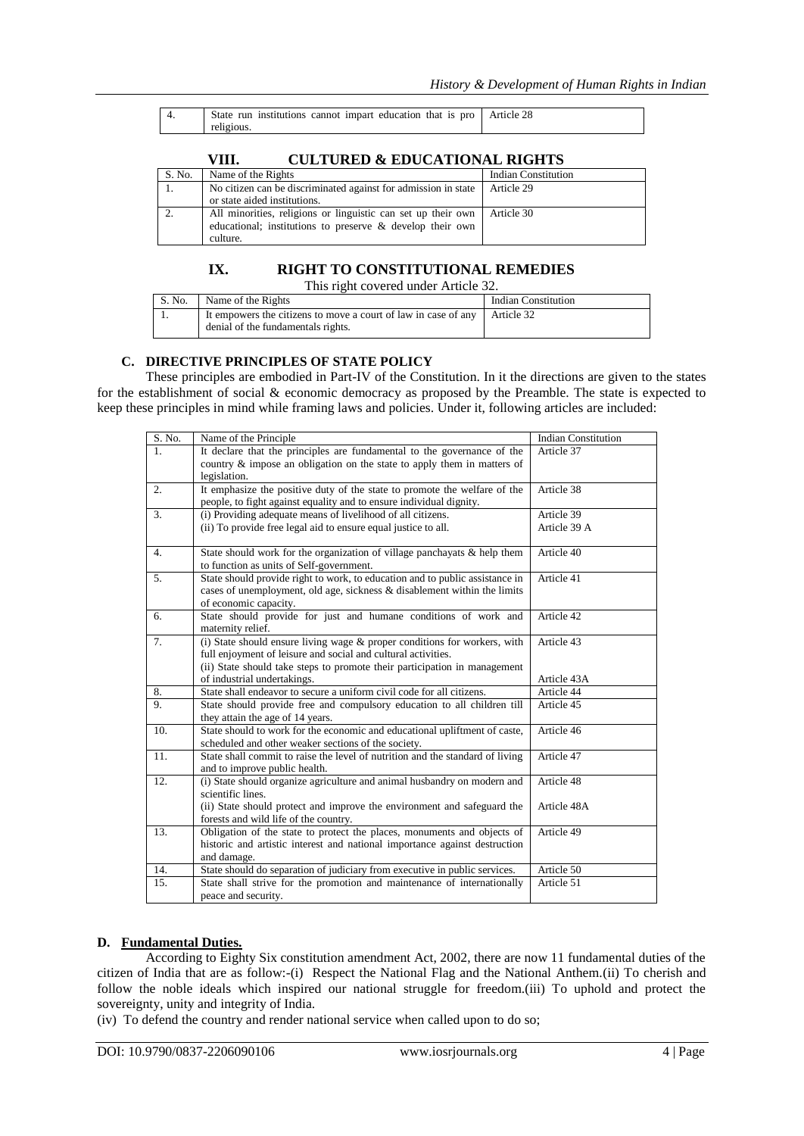| State run institutions cannot impart education that is pro Article 28 |  |
|-----------------------------------------------------------------------|--|
| religious.                                                            |  |

# **VIII. CULTURED & EDUCATIONAL RIGHTS**

| S. No. | Name of the Rights                                             | <b>Indian Constitution</b> |
|--------|----------------------------------------------------------------|----------------------------|
|        | No citizen can be discriminated against for admission in state | Article 29                 |
|        | or state aided institutions.                                   |                            |
|        | All minorities, religions or linguistic can set up their own   | Article 30                 |
|        | educational; institutions to preserve & develop their own      |                            |
|        | culture.                                                       |                            |

# **IX. RIGHT TO CONSTITUTIONAL REMEDIES**

This right covered under Article 32.

| S. No. | Name of the Rights                                                                                                          | <b>Indian Constitution</b> |
|--------|-----------------------------------------------------------------------------------------------------------------------------|----------------------------|
|        | It empowers the citizens to move a court of law in case of any $\parallel$ Article 32<br>denial of the fundamentals rights. |                            |

## **C. DIRECTIVE PRINCIPLES OF STATE POLICY**

These principles are embodied in Part-IV of the Constitution. In it the directions are given to the states for the establishment of social & economic democracy as proposed by the Preamble. The state is expected to keep these principles in mind while framing laws and policies. Under it, following articles are included:

| S. No. | Name of the Principle                                                         | <b>Indian Constitution</b> |
|--------|-------------------------------------------------------------------------------|----------------------------|
| $1$ .  | It declare that the principles are fundamental to the governance of the       | Article 37                 |
|        | country $\&$ impose an obligation on the state to apply them in matters of    |                            |
|        | legislation.                                                                  |                            |
| 2.     | It emphasize the positive duty of the state to promote the welfare of the     | Article $38$               |
|        | people, to fight against equality and to ensure individual dignity.           |                            |
| 3.     | (i) Providing adequate means of livelihood of all citizens.                   | Article 39                 |
|        | (ii) To provide free legal aid to ensure equal justice to all.                | Article 39 A               |
| 4.     | State should work for the organization of village panchayats & help them      | Article 40                 |
|        | to function as units of Self-government.                                      |                            |
| 5.     | State should provide right to work, to education and to public assistance in  | Article $\overline{41}$    |
|        | cases of unemployment, old age, sickness & disablement within the limits      |                            |
|        | of economic capacity.                                                         |                            |
| 6.     | State should provide for just and humane conditions of work and               | Article 42                 |
|        | maternity relief.                                                             |                            |
| 7.     | (i) State should ensure living wage & proper conditions for workers, with     | Article 43                 |
|        | full enjoyment of leisure and social and cultural activities.                 |                            |
|        | (ii) State should take steps to promote their participation in management     |                            |
|        | of industrial undertakings.                                                   | Article 43A                |
| 8.     | State shall endeavor to secure a uniform civil code for all citizens.         | Article 44                 |
| 9.     | State should provide free and compulsory education to all children till       | Article 45                 |
|        | they attain the age of 14 years.                                              |                            |
| 10.    | State should to work for the economic and educational upliftment of caste,    | Article 46                 |
|        | scheduled and other weaker sections of the society.                           |                            |
| 11.    | State shall commit to raise the level of nutrition and the standard of living | Article 47                 |
|        | and to improve public health.                                                 |                            |
| 12.    | (i) State should organize agriculture and animal husbandry on modern and      | Article 48                 |
|        | scientific lines.                                                             |                            |
|        | (ii) State should protect and improve the environment and safeguard the       | Article 48A                |
|        | forests and wild life of the country.                                         |                            |
| 13.    | Obligation of the state to protect the places, monuments and objects of       | Article 49                 |
|        | historic and artistic interest and national importance against destruction    |                            |
|        | and damage.                                                                   |                            |
| 14.    | State should do separation of judiciary from executive in public services.    | Article 50                 |
| 15.    | State shall strive for the promotion and maintenance of internationally       | Article 51                 |
|        | peace and security.                                                           |                            |

## **D. Fundamental Duties.**

According to Eighty Six constitution amendment Act, 2002, there are now 11 fundamental duties of the citizen of India that are as follow:-(i) Respect the National Flag and the National Anthem.(ii) To cherish and follow the noble ideals which inspired our national struggle for freedom.(iii) To uphold and protect the sovereignty, unity and integrity of India.

(iv) To defend the country and render national service when called upon to do so;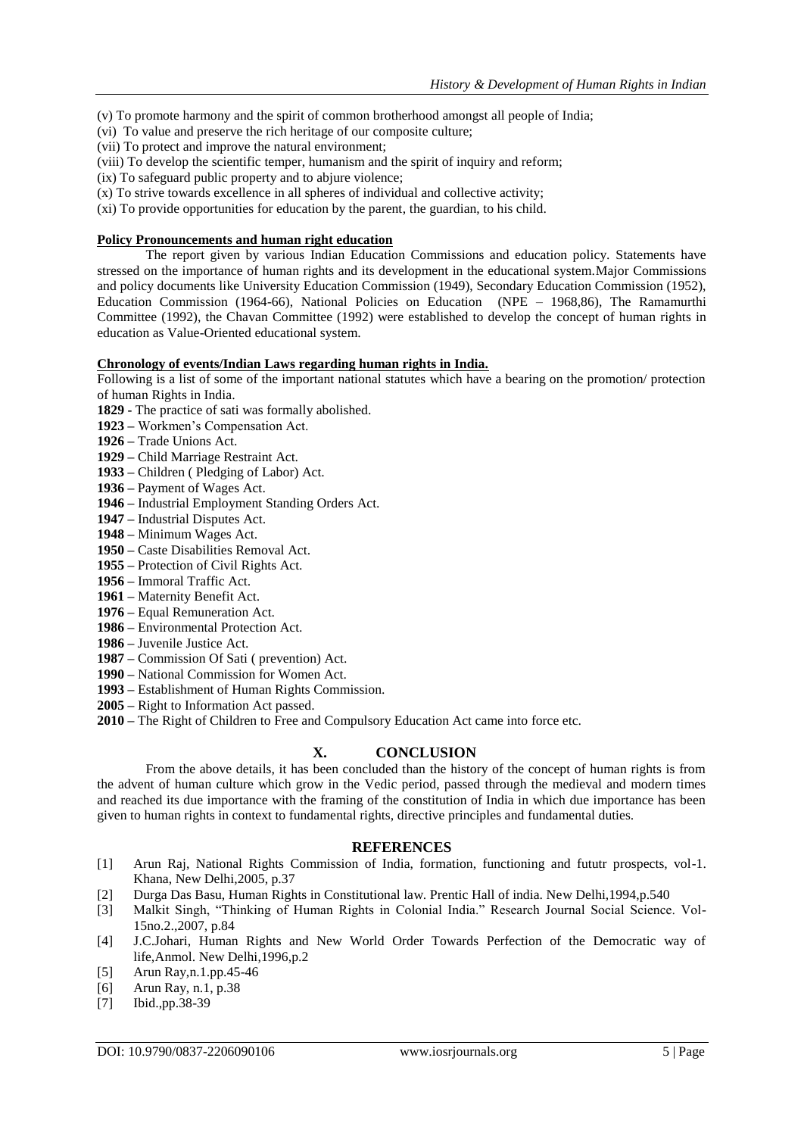- (v) To promote harmony and the spirit of common brotherhood amongst all people of India;
- (vi) To value and preserve the rich heritage of our composite culture;
- (vii) To protect and improve the natural environment;
- (viii) To develop the scientific temper, humanism and the spirit of inquiry and reform;
- (ix) To safeguard public property and to abjure violence;
- (x) To strive towards excellence in all spheres of individual and collective activity;
- (xi) To provide opportunities for education by the parent, the guardian, to his child.

#### **Policy Pronouncements and human right education**

The report given by various Indian Education Commissions and education policy. Statements have stressed on the importance of human rights and its development in the educational system.Major Commissions and policy documents like University Education Commission (1949), Secondary Education Commission (1952), Education Commission (1964-66), National Policies on Education (NPE – 1968,86), The Ramamurthi Committee (1992), the Chavan Committee (1992) were established to develop the concept of human rights in education as Value-Oriented educational system.

#### **Chronology of events/Indian Laws regarding human rights in India.**

Following is a list of some of the important national statutes which have a bearing on the promotion/ protection of human Rights in India.

- **1829 -** The practice of sati was formally abolished.
- **1923 –** Workmen's Compensation Act.
- **1926 –** Trade Unions Act.
- **1929 –** Child Marriage Restraint Act.
- **1933 –** Children ( Pledging of Labor) Act.
- **1936 –** Payment of Wages Act.
- **1946 –** Industrial Employment Standing Orders Act.
- **1947 –** Industrial Disputes Act.
- **1948 –** Minimum Wages Act.
- **1950 –** Caste Disabilities Removal Act.
- **1955 –** Protection of Civil Rights Act.
- **1956 –** Immoral Traffic Act.
- **1961 –** Maternity Benefit Act.
- **1976 –** Equal Remuneration Act.
- **1986 –** Environmental Protection Act.
- **1986 –** Juvenile Justice Act.
- **1987 –** Commission Of Sati ( prevention) Act.
- **1990 –** National Commission for Women Act.
- **1993 –** Establishment of Human Rights Commission.
- **2005 –** Right to Information Act passed.
- **2010 –** The Right of Children to Free and Compulsory Education Act came into force etc.

# **X. CONCLUSION**

From the above details, it has been concluded than the history of the concept of human rights is from the advent of human culture which grow in the Vedic period, passed through the medieval and modern times and reached its due importance with the framing of the constitution of India in which due importance has been given to human rights in context to fundamental rights, directive principles and fundamental duties.

#### **REFERENCES**

- [1] Arun Raj, National Rights Commission of India, formation, functioning and fututr prospects, vol-1. Khana, New Delhi,2005, p.37
- [2] Durga Das Basu, Human Rights in Constitutional law. Prentic Hall of india. New Delhi,1994,p.540
- [3] Malkit Singh, "Thinking of Human Rights in Colonial India." Research Journal Social Science. Vol-15no.2.,2007, p.84
- [4] J.C.Johari, Human Rights and New World Order Towards Perfection of the Democratic way of life,Anmol. New Delhi,1996,p.2
- [5] Arun Ray,n.1.pp.45-46
- [6] Arun Ray, n.1, p.38
- [7] Ibid., pp. 38-39